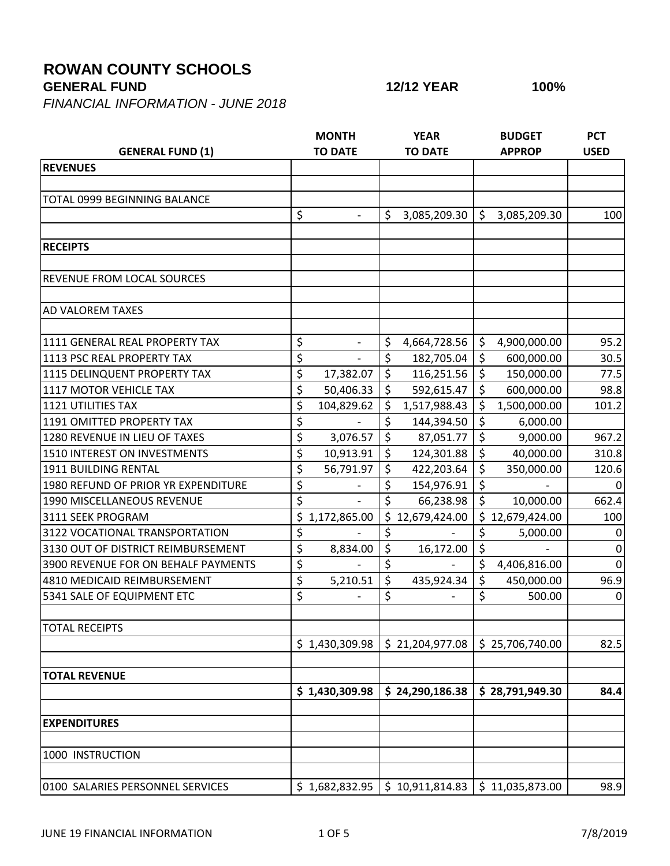## **ROWAN COUNTY SCHOOLS**

**GENERAL FUND 12/12 YEAR 100%**

*FINANCIAL INFORMATION - JUNE 2018*

|                                                        | <b>MONTH</b>                   | <b>YEAR</b>                 | <b>BUDGET</b>                       | <b>PCT</b>  |
|--------------------------------------------------------|--------------------------------|-----------------------------|-------------------------------------|-------------|
| <b>GENERAL FUND (1)</b>                                | <b>TO DATE</b>                 | <b>TO DATE</b>              | <b>APPROP</b>                       | <b>USED</b> |
| <b>REVENUES</b>                                        |                                |                             |                                     |             |
|                                                        |                                |                             |                                     |             |
| <b>TOTAL 0999 BEGINNING BALANCE</b>                    |                                |                             |                                     |             |
|                                                        | \$                             | \$<br>3,085,209.30          | \$<br>3,085,209.30                  | 100         |
|                                                        |                                |                             |                                     |             |
| <b>RECEIPTS</b>                                        |                                |                             |                                     |             |
| REVENUE FROM LOCAL SOURCES                             |                                |                             |                                     |             |
| AD VALOREM TAXES                                       |                                |                             |                                     |             |
| 1111 GENERAL REAL PROPERTY TAX                         |                                |                             |                                     |             |
|                                                        | \$<br>$\overline{\phantom{a}}$ | \$<br>4,664,728.56          | \$<br>4,900,000.00                  | 95.2        |
| 1113 PSC REAL PROPERTY TAX                             | \$<br>$\blacksquare$           | \$<br>182,705.04<br>$\zeta$ | \$<br>600,000.00<br>$\zeta$         | 30.5        |
| 1115 DELINQUENT PROPERTY TAX<br>1117 MOTOR VEHICLE TAX | \$<br>17,382.07                | 116,251.56<br>\$            | 150,000.00<br>\$                    | 77.5        |
|                                                        | \$<br>50,406.33                | 592,615.47                  | 600,000.00                          | 98.8        |
| <b>1121 UTILITIES TAX</b>                              | \$<br>104,829.62               | \$<br>1,517,988.43          | \$<br>1,500,000.00                  | 101.2       |
| 1191 OMITTED PROPERTY TAX                              | \$                             | \$<br>144,394.50            | $\zeta$<br>6,000.00                 |             |
| 1280 REVENUE IN LIEU OF TAXES                          | \$<br>3,076.57                 | $\zeta$<br>87,051.77        | \$<br>9,000.00                      | 967.2       |
| 1510 INTEREST ON INVESTMENTS                           | \$<br>10,913.91                | $\zeta$<br>124,301.88       | $\overline{\varsigma}$<br>40,000.00 | 310.8       |
| 1911 BUILDING RENTAL                                   | \$<br>56,791.97                | \$<br>422,203.64            | $\zeta$<br>350,000.00               | 120.6       |
| 1980 REFUND OF PRIOR YR EXPENDITURE                    | \$                             | \$<br>154,976.91            | \$                                  | 0           |
| 1990 MISCELLANEOUS REVENUE                             | \$<br>$\overline{\phantom{a}}$ | \$<br>66,238.98             | $\zeta$<br>10,000.00                | 662.4       |
| 3111 SEEK PROGRAM                                      | \$<br>1,172,865.00             | \$<br>12,679,424.00         | \$12,679,424.00                     | 100         |
| 3122 VOCATIONAL TRANSPORTATION                         | \$                             | \$                          | \$<br>5,000.00                      | 0           |
| 3130 OUT OF DISTRICT REIMBURSEMENT                     | \$<br>8,834.00                 | \$<br>16,172.00             | \$                                  | $\mathbf 0$ |
| 3900 REVENUE FOR ON BEHALF PAYMENTS                    | \$                             | \$                          | \$<br>4,406,816.00                  | $\Omega$    |
| 4810 MEDICAID REIMBURSEMENT                            | \$<br>5,210.51                 | \$<br>435,924.34            | \$<br>450,000.00                    | 96.9        |
| 5341 SALE OF EQUIPMENT ETC                             | \$                             | \$                          | \$<br>500.00                        | $\Omega$    |
| <b>TOTAL RECEIPTS</b>                                  |                                |                             |                                     |             |
|                                                        | \$1,430,309.98                 | \$21,204,977.08             | \$25,706,740.00                     | 82.5        |
| <b>TOTAL REVENUE</b>                                   |                                |                             |                                     |             |
|                                                        | \$1,430,309.98                 | \$24,290,186.38             | \$28,791,949.30                     | 84.4        |
| <b>EXPENDITURES</b>                                    |                                |                             |                                     |             |
| 1000 INSTRUCTION                                       |                                |                             |                                     |             |
| 0100 SALARIES PERSONNEL SERVICES                       | \$1,682,832.95                 | \$10,911,814.83             | \$11,035,873.00                     | 98.9        |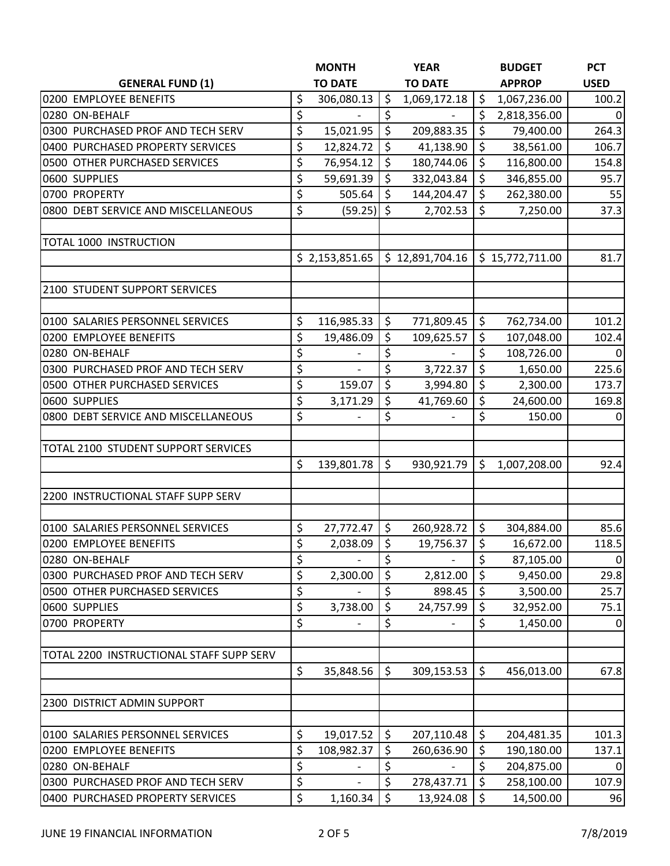|                                          | <b>MONTH</b>     |         | <b>YEAR</b>              |         | <b>BUDGET</b>   | <b>PCT</b>     |
|------------------------------------------|------------------|---------|--------------------------|---------|-----------------|----------------|
| <b>GENERAL FUND (1)</b>                  | <b>TO DATE</b>   |         | <b>TO DATE</b>           |         | <b>APPROP</b>   | <b>USED</b>    |
| 0200 EMPLOYEE BENEFITS                   | \$<br>306,080.13 | \$      | 1,069,172.18             | \$      | 1,067,236.00    | 100.2          |
| 0280 ON-BEHALF                           | \$               | \$      |                          | \$      | 2,818,356.00    | 0              |
| 0300 PURCHASED PROF AND TECH SERV        | \$<br>15,021.95  | $\zeta$ | 209,883.35               | \$      | 79,400.00       | 264.3          |
| 0400 PURCHASED PROPERTY SERVICES         | \$<br>12,824.72  | $\zeta$ | 41,138.90                | \$      | 38,561.00       | 106.7          |
| 0500 OTHER PURCHASED SERVICES            | \$<br>76,954.12  | \$      | 180,744.06               | \$      | 116,800.00      | 154.8          |
| 0600 SUPPLIES                            | \$<br>59,691.39  | $\zeta$ | 332,043.84               | \$      | 346,855.00      | 95.7           |
| 0700 PROPERTY                            | \$<br>505.64     | \$      | 144,204.47               | \$      | 262,380.00      | 55             |
| 0800 DEBT SERVICE AND MISCELLANEOUS      | \$<br>(59.25)    | $\zeta$ | 2,702.53                 | \$      | 7,250.00        | 37.3           |
| TOTAL 1000 INSTRUCTION                   |                  |         |                          |         |                 |                |
|                                          | \$2,153,851.65   |         | \$12,891,704.16          |         | \$15,772,711.00 | 81.7           |
| 2100 STUDENT SUPPORT SERVICES            |                  |         |                          |         |                 |                |
| 0100 SALARIES PERSONNEL SERVICES         | \$<br>116,985.33 | \$      | 771,809.45               | \$      | 762,734.00      | 101.2          |
| 0200 EMPLOYEE BENEFITS                   | \$<br>19,486.09  | \$      | 109,625.57               | \$      | 107,048.00      | 102.4          |
| 0280 ON-BEHALF                           | \$               | \$      | $\overline{\phantom{0}}$ | \$      | 108,726.00      | $\mathbf{0}$   |
| 0300 PURCHASED PROF AND TECH SERV        | \$               | \$      | 3,722.37                 | \$      | 1,650.00        | 225.6          |
| 0500 OTHER PURCHASED SERVICES            | \$<br>159.07     | \$      | 3,994.80                 | \$      | 2,300.00        | 173.7          |
| 0600 SUPPLIES                            | \$<br>3,171.29   | \$      | 41,769.60                | \$      | 24,600.00       | 169.8          |
| 0800 DEBT SERVICE AND MISCELLANEOUS      | \$               | \$      |                          | \$      | 150.00          | 0              |
| TOTAL 2100 STUDENT SUPPORT SERVICES      |                  |         |                          |         |                 |                |
|                                          | \$<br>139,801.78 | \$      | 930,921.79               | \$      | 1,007,208.00    | 92.4           |
| 2200 INSTRUCTIONAL STAFF SUPP SERV       |                  |         |                          |         |                 |                |
| 0100 SALARIES PERSONNEL SERVICES         | \$<br>27,772.47  | $\zeta$ | 260,928.72               | \$      | 304,884.00      | 85.6           |
| 0200 EMPLOYEE BENEFITS                   | \$<br>2,038.09   | $\zeta$ | 19,756.37                | $\zeta$ | 16,672.00       | 118.5          |
| 0280 ON-BEHALF                           | \$               | \$      |                          | \$      | 87,105.00       | $\overline{0}$ |
| 0300 PURCHASED PROF AND TECH SERV        | \$<br>2,300.00   | \$      | 2,812.00                 | Ŝ       | 9,450.00        | 29.8           |
| 0500 OTHER PURCHASED SERVICES            | \$               | \$      | 898.45                   | $\zeta$ | 3,500.00        | 25.7           |
| 0600 SUPPLIES                            | \$<br>3,738.00   | \$      | 24,757.99                | \$      | 32,952.00       | 75.1           |
| 0700 PROPERTY                            | \$               | \$      |                          | \$      | 1,450.00        | $\mathbf 0$    |
| TOTAL 2200 INSTRUCTIONAL STAFF SUPP SERV |                  |         |                          |         |                 |                |
|                                          | \$<br>35,848.56  | \$      | 309,153.53               | \$      | 456,013.00      | 67.8           |
| 2300 DISTRICT ADMIN SUPPORT              |                  |         |                          |         |                 |                |
| 0100 SALARIES PERSONNEL SERVICES         | \$<br>19,017.52  | \$      | 207,110.48               | \$      | 204,481.35      | 101.3          |
| 0200 EMPLOYEE BENEFITS                   | \$<br>108,982.37 | \$      | 260,636.90               | \$      | 190,180.00      | 137.1          |
| 0280 ON-BEHALF                           | \$               | \$      |                          | \$      | 204,875.00      | $\Omega$       |
| 0300 PURCHASED PROF AND TECH SERV        | \$               | \$      | 278,437.71               | \$      | 258,100.00      | 107.9          |
| 0400 PURCHASED PROPERTY SERVICES         | \$<br>1,160.34   | \$      | 13,924.08                | \$      | 14,500.00       | 96             |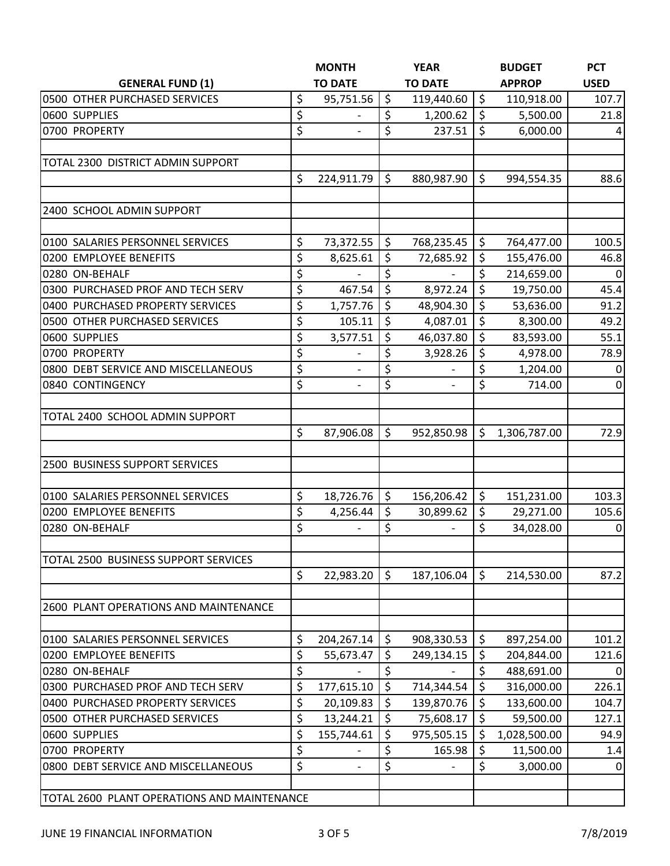|                                             |    | <b>MONTH</b>             |         | <b>YEAR</b>    |         | <b>BUDGET</b> | <b>PCT</b>     |
|---------------------------------------------|----|--------------------------|---------|----------------|---------|---------------|----------------|
| <b>GENERAL FUND (1)</b>                     |    | <b>TO DATE</b>           |         | <b>TO DATE</b> |         | <b>APPROP</b> | <b>USED</b>    |
| 0500 OTHER PURCHASED SERVICES               | \$ | 95,751.56                | $\zeta$ | 119,440.60     | \$      | 110,918.00    | 107.7          |
| 0600 SUPPLIES                               | \$ |                          | \$      | 1,200.62       | \$      | 5,500.00      | 21.8           |
| 0700 PROPERTY                               | \$ |                          | \$      | 237.51         | \$      | 6,000.00      | 4              |
| TOTAL 2300 DISTRICT ADMIN SUPPORT           |    |                          |         |                |         |               |                |
|                                             | \$ | 224,911.79               | $\zeta$ | 880,987.90     | \$      | 994,554.35    | 88.6           |
| 2400 SCHOOL ADMIN SUPPORT                   |    |                          |         |                |         |               |                |
| 0100 SALARIES PERSONNEL SERVICES            | \$ | 73,372.55                | \$      | 768,235.45     | \$      | 764,477.00    | 100.5          |
| 0200 EMPLOYEE BENEFITS                      | \$ | 8,625.61                 | \$      | 72,685.92      | \$      | 155,476.00    | 46.8           |
| 0280 ON-BEHALF                              | \$ | $\overline{\phantom{0}}$ | \$      | $\blacksquare$ | \$      | 214,659.00    | $\overline{0}$ |
| 0300 PURCHASED PROF AND TECH SERV           | \$ | 467.54                   | \$      | 8,972.24       | \$      | 19,750.00     | 45.4           |
| 0400 PURCHASED PROPERTY SERVICES            | \$ | 1,757.76                 | \$      | 48,904.30      | \$      | 53,636.00     | 91.2           |
| 0500 OTHER PURCHASED SERVICES               | \$ | 105.11                   | \$      | 4,087.01       | \$      | 8,300.00      | 49.2           |
| 0600 SUPPLIES                               | \$ | 3,577.51                 | \$      | 46,037.80      | \$      | 83,593.00     | 55.1           |
| 0700 PROPERTY                               | \$ |                          | \$      | 3,928.26       | \$      | 4,978.00      | 78.9           |
| 0800 DEBT SERVICE AND MISCELLANEOUS         | \$ |                          | \$      |                | \$      | 1,204.00      | 0              |
| 0840 CONTINGENCY                            | \$ | $\overline{\phantom{a}}$ | \$      |                | \$      | 714.00        | $\overline{0}$ |
| TOTAL 2400 SCHOOL ADMIN SUPPORT             |    |                          |         |                |         |               |                |
|                                             | \$ | 87,906.08                | \$      | 952,850.98     | \$      | 1,306,787.00  | 72.9           |
|                                             |    |                          |         |                |         |               |                |
| 2500 BUSINESS SUPPORT SERVICES              |    |                          |         |                |         |               |                |
| 0100 SALARIES PERSONNEL SERVICES            | \$ | 18,726.76                | \$      | 156,206.42     | \$      | 151,231.00    | 103.3          |
| 0200 EMPLOYEE BENEFITS                      | \$ | 4,256.44                 | \$      | 30,899.62      | \$      | 29,271.00     | 105.6          |
| 0280 ON-BEHALF                              | \$ |                          | \$      |                | \$      | 34,028.00     | 0              |
| TOTAL 2500 BUSINESS SUPPORT SERVICES        |    |                          |         |                |         |               |                |
|                                             | \$ | 22,983.20                | \$      | 187,106.04     | \$      | 214,530.00    | 87.2           |
| 2600 PLANT OPERATIONS AND MAINTENANCE       |    |                          |         |                |         |               |                |
|                                             |    |                          |         |                |         |               |                |
| 0100 SALARIES PERSONNEL SERVICES            | \$ | 204,267.14               | \$      | 908,330.53     | \$      | 897,254.00    | 101.2          |
| 0200 EMPLOYEE BENEFITS                      | \$ | 55,673.47                | \$      | 249,134.15     | \$      | 204,844.00    | 121.6          |
| 0280 ON-BEHALF                              | \$ |                          | \$      |                | \$      | 488,691.00    | $\overline{0}$ |
| 0300 PURCHASED PROF AND TECH SERV           | \$ | 177,615.10               | \$      | 714,344.54     | $\zeta$ | 316,000.00    | 226.1          |
| 0400 PURCHASED PROPERTY SERVICES            | \$ | 20,109.83                | \$      | 139,870.76     | \$      | 133,600.00    | 104.7          |
| 0500 OTHER PURCHASED SERVICES               | \$ | 13,244.21                | \$      | 75,608.17      | \$      | 59,500.00     | 127.1          |
| 0600 SUPPLIES                               | \$ | 155,744.61               | \$      | 975,505.15     | \$      | 1,028,500.00  | 94.9           |
| 0700 PROPERTY                               | \$ |                          | \$      | 165.98         | \$      | 11,500.00     | 1.4            |
| 0800 DEBT SERVICE AND MISCELLANEOUS         | \$ | $\overline{\phantom{a}}$ | \$      |                | \$      | 3,000.00      | $\overline{0}$ |
| TOTAL 2600 PLANT OPERATIONS AND MAINTENANCE |    |                          |         |                |         |               |                |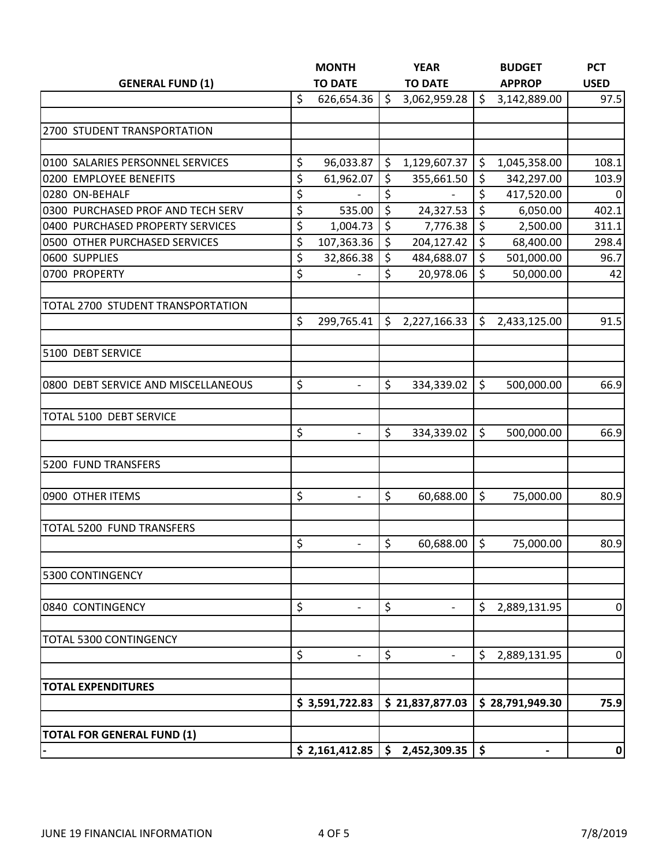|                                     |    | <b>MONTH</b>             |    | <b>YEAR</b>                        |                     | <b>BUDGET</b>   | <b>PCT</b>  |
|-------------------------------------|----|--------------------------|----|------------------------------------|---------------------|-----------------|-------------|
| <b>GENERAL FUND (1)</b>             |    | <b>TO DATE</b>           |    | <b>TO DATE</b>                     |                     | <b>APPROP</b>   | <b>USED</b> |
|                                     | \$ | 626,654.36               | \$ | 3,062,959.28                       | \$                  | 3,142,889.00    | 97.5        |
|                                     |    |                          |    |                                    |                     |                 |             |
| 2700 STUDENT TRANSPORTATION         |    |                          |    |                                    |                     |                 |             |
|                                     |    |                          |    |                                    |                     |                 |             |
| 0100 SALARIES PERSONNEL SERVICES    | \$ | 96,033.87                | \$ | 1,129,607.37                       | \$                  | 1,045,358.00    | 108.1       |
| 0200 EMPLOYEE BENEFITS              | \$ | 61,962.07                | \$ | 355,661.50                         | \$                  | 342,297.00      | 103.9       |
| 0280 ON-BEHALF                      | \$ | $\overline{\phantom{0}}$ | \$ | $\overline{\phantom{a}}$           | \$                  | 417,520.00      | $\mathbf 0$ |
| 0300 PURCHASED PROF AND TECH SERV   | \$ | 535.00                   | \$ | 24,327.53                          | $\zeta$             | 6,050.00        | 402.1       |
| 0400 PURCHASED PROPERTY SERVICES    | \$ | 1,004.73                 | \$ | 7,776.38                           | \$                  | 2,500.00        | 311.1       |
| 0500 OTHER PURCHASED SERVICES       | \$ | 107,363.36               | \$ | 204,127.42                         | $\zeta$             | 68,400.00       | 298.4       |
| 0600 SUPPLIES                       | \$ | 32,866.38                | \$ | 484,688.07                         | $\zeta$             | 501,000.00      | 96.7        |
| 0700 PROPERTY                       | \$ |                          | \$ | 20,978.06                          | \$                  | 50,000.00       | 42          |
| TOTAL 2700 STUDENT TRANSPORTATION   |    |                          |    |                                    |                     |                 |             |
|                                     | \$ | 299,765.41               | \$ | 2,227,166.33                       | \$                  | 2,433,125.00    | 91.5        |
|                                     |    |                          |    |                                    |                     |                 |             |
| 5100 DEBT SERVICE                   |    |                          |    |                                    |                     |                 |             |
|                                     |    |                          |    |                                    |                     |                 |             |
| 0800 DEBT SERVICE AND MISCELLANEOUS | \$ | $\overline{\phantom{a}}$ | \$ | 334,339.02                         | \$                  | 500,000.00      | 66.9        |
| TOTAL 5100 DEBT SERVICE             |    |                          |    |                                    |                     |                 |             |
|                                     | \$ | $\overline{\phantom{0}}$ | \$ | 334,339.02                         | $\zeta$             | 500,000.00      | 66.9        |
| 5200 FUND TRANSFERS                 |    |                          |    |                                    |                     |                 |             |
|                                     |    |                          |    |                                    |                     |                 |             |
| 0900 OTHER ITEMS                    | \$ | $\overline{a}$           | \$ | 60,688.00                          | \$                  | 75,000.00       | 80.9        |
|                                     |    |                          |    |                                    |                     |                 |             |
| TOTAL 5200 FUND TRANSFERS           | \$ | $\overline{a}$           | \$ | 60,688.00                          | $\zeta$             | 75,000.00       | 80.9        |
|                                     |    |                          |    |                                    |                     |                 |             |
| 5300 CONTINGENCY                    |    |                          |    |                                    |                     |                 |             |
| 0840 CONTINGENCY                    | \$ | $\overline{\phantom{a}}$ | \$ | $\overline{\phantom{a}}$           | \$                  | 2,889,131.95    | 0           |
|                                     |    |                          |    |                                    |                     |                 |             |
| TOTAL 5300 CONTINGENCY              |    |                          |    |                                    |                     |                 |             |
|                                     | \$ | $\overline{\phantom{0}}$ | \$ | $\overline{\phantom{a}}$           | \$                  | 2,889,131.95    | $\pmb{0}$   |
| <b>TOTAL EXPENDITURES</b>           |    |                          |    |                                    |                     |                 |             |
|                                     |    | \$3,591,722.83           |    | \$21,837,877.03                    |                     | \$28,791,949.30 | 75.9        |
|                                     |    |                          |    |                                    |                     |                 |             |
| <b>TOTAL FOR GENERAL FUND (1)</b>   |    |                          |    |                                    |                     |                 |             |
|                                     |    |                          |    | $$2,161,412.85 \mid $2,452,309.35$ | $\ddot{\bm{\zeta}}$ | $\blacksquare$  | 0           |